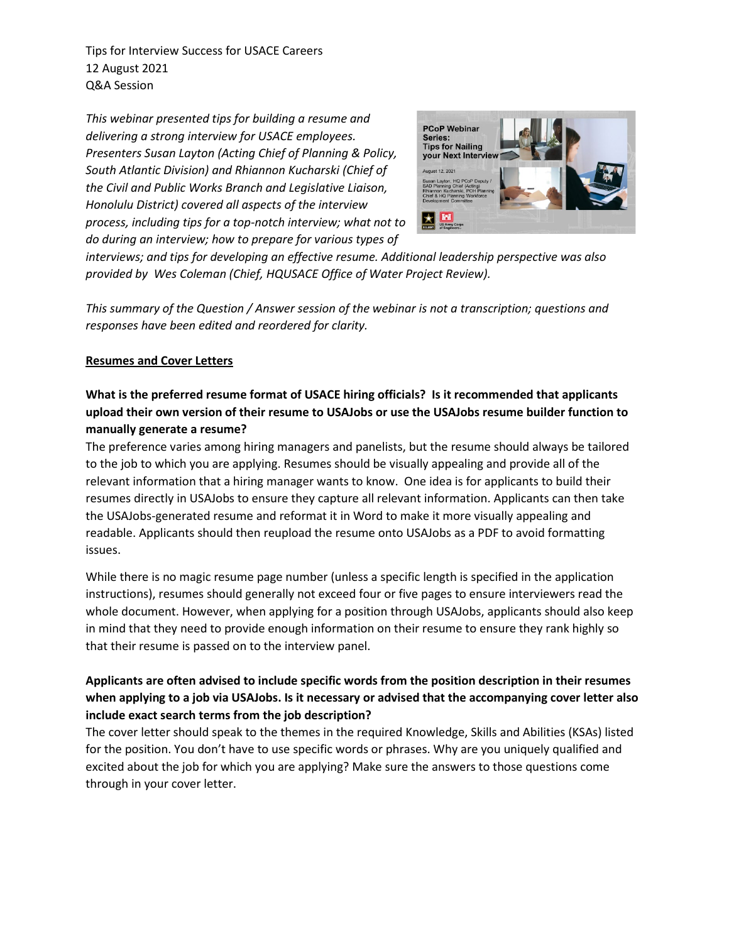Tips for Interview Success for USACE Careers 12 August 2021 Q&A Session

*This webinar presented tips for building a resume and delivering a strong interview for USACE employees. Presenters Susan Layton (Acting Chief of Planning & Policy, South Atlantic Division) and Rhiannon Kucharski (Chief of the Civil and Public Works Branch and Legislative Liaison, Honolulu District) covered all aspects of the interview process, including tips for a top-notch interview; what not to do during an interview; how to prepare for various types of* 



*interviews; and tips for developing an effective resume. Additional leadership perspective was also provided by Wes Coleman (Chief, HQUSACE Office of Water Project Review).*

*This summary of the Question / Answer session of the webinar is not a transcription; questions and responses have been edited and reordered for clarity.*

## **Resumes and Cover Letters**

# **What is the preferred resume format of USACE hiring officials? Is it recommended that applicants upload their own version of their resume to USAJobs or use the USAJobs resume builder function to manually generate a resume?**

The preference varies among hiring managers and panelists, but the resume should always be tailored to the job to which you are applying. Resumes should be visually appealing and provide all of the relevant information that a hiring manager wants to know. One idea is for applicants to build their resumes directly in USAJobs to ensure they capture all relevant information. Applicants can then take the USAJobs-generated resume and reformat it in Word to make it more visually appealing and readable. Applicants should then reupload the resume onto USAJobs as a PDF to avoid formatting issues.

While there is no magic resume page number (unless a specific length is specified in the application instructions), resumes should generally not exceed four or five pages to ensure interviewers read the whole document. However, when applying for a position through USAJobs, applicants should also keep in mind that they need to provide enough information on their resume to ensure they rank highly so that their resume is passed on to the interview panel.

# **Applicants are often advised to include specific words from the position description in their resumes when applying to a job via USAJobs. Is it necessary or advised that the accompanying cover letter also include exact search terms from the job description?**

The cover letter should speak to the themes in the required Knowledge, Skills and Abilities (KSAs) listed for the position. You don't have to use specific words or phrases. Why are you uniquely qualified and excited about the job for which you are applying? Make sure the answers to those questions come through in your cover letter.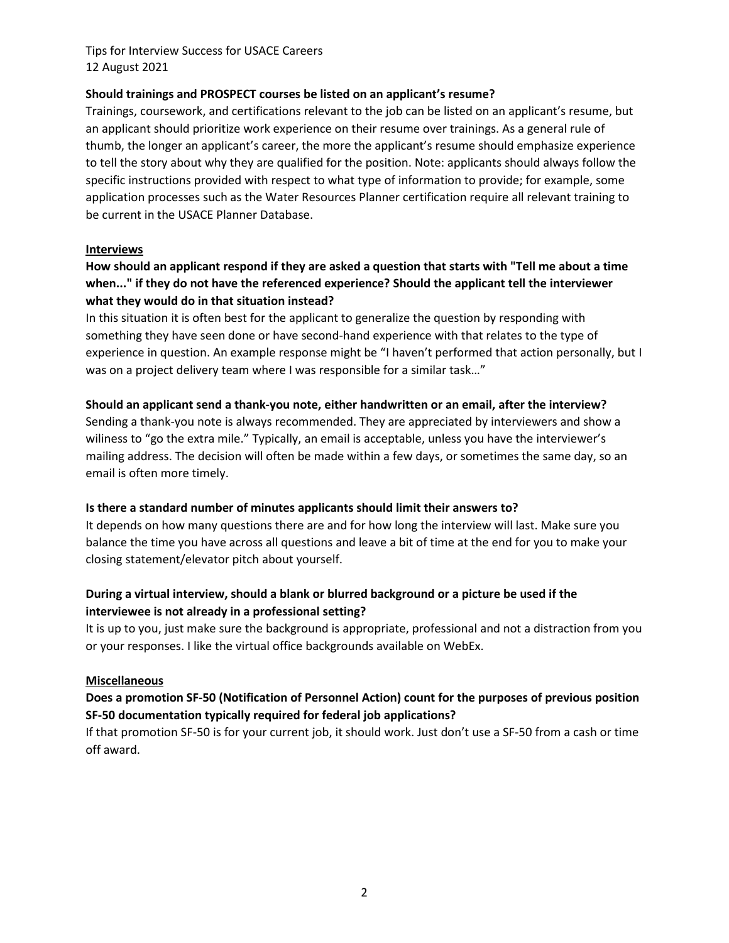Tips for Interview Success for USACE Careers 12 August 2021

#### **Should trainings and PROSPECT courses be listed on an applicant's resume?**

Trainings, coursework, and certifications relevant to the job can be listed on an applicant's resume, but an applicant should prioritize work experience on their resume over trainings. As a general rule of thumb, the longer an applicant's career, the more the applicant's resume should emphasize experience to tell the story about why they are qualified for the position. Note: applicants should always follow the specific instructions provided with respect to what type of information to provide; for example, some application processes such as the Water Resources Planner certification require all relevant training to be current in the USACE Planner Database.

#### **Interviews**

# **How should an applicant respond if they are asked a question that starts with "Tell me about a time when..." if they do not have the referenced experience? Should the applicant tell the interviewer what they would do in that situation instead?**

In this situation it is often best for the applicant to generalize the question by responding with something they have seen done or have second-hand experience with that relates to the type of experience in question. An example response might be "I haven't performed that action personally, but I was on a project delivery team where I was responsible for a similar task..."

### **Should an applicant send a thank-you note, either handwritten or an email, after the interview?**

Sending a thank-you note is always recommended. They are appreciated by interviewers and show a wiliness to "go the extra mile." Typically, an email is acceptable, unless you have the interviewer's mailing address. The decision will often be made within a few days, or sometimes the same day, so an email is often more timely.

## **Is there a standard number of minutes applicants should limit their answers to?**

It depends on how many questions there are and for how long the interview will last. Make sure you balance the time you have across all questions and leave a bit of time at the end for you to make your closing statement/elevator pitch about yourself.

## **During a virtual interview, should a blank or blurred background or a picture be used if the interviewee is not already in a professional setting?**

It is up to you, just make sure the background is appropriate, professional and not a distraction from you or your responses. I like the virtual office backgrounds available on WebEx.

#### **Miscellaneous**

## **Does a promotion SF-50 (Notification of Personnel Action) count for the purposes of previous position SF-50 documentation typically required for federal job applications?**

If that promotion SF-50 is for your current job, it should work. Just don't use a SF-50 from a cash or time off award.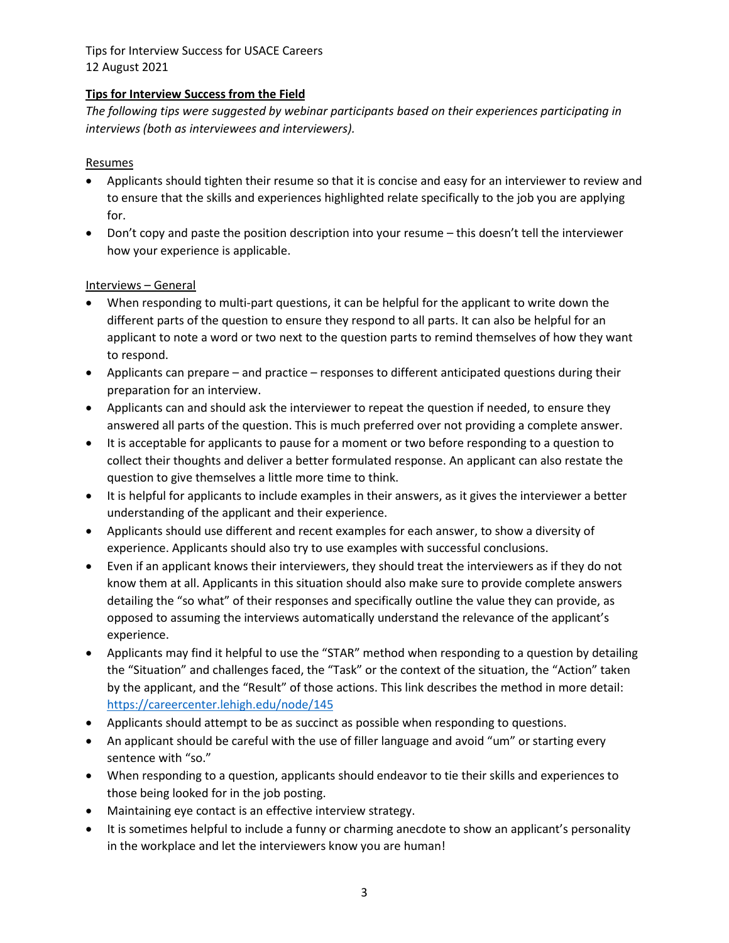Tips for Interview Success for USACE Careers 12 August 2021

## **Tips for Interview Success from the Field**

*The following tips were suggested by webinar participants based on their experiences participating in interviews (both as interviewees and interviewers).*

### Resumes

- Applicants should tighten their resume so that it is concise and easy for an interviewer to review and to ensure that the skills and experiences highlighted relate specifically to the job you are applying for.
- Don't copy and paste the position description into your resume this doesn't tell the interviewer how your experience is applicable.

### Interviews – General

- When responding to multi-part questions, it can be helpful for the applicant to write down the different parts of the question to ensure they respond to all parts. It can also be helpful for an applicant to note a word or two next to the question parts to remind themselves of how they want to respond.
- Applicants can prepare and practice responses to different anticipated questions during their preparation for an interview.
- Applicants can and should ask the interviewer to repeat the question if needed, to ensure they answered all parts of the question. This is much preferred over not providing a complete answer.
- It is acceptable for applicants to pause for a moment or two before responding to a question to collect their thoughts and deliver a better formulated response. An applicant can also restate the question to give themselves a little more time to think.
- It is helpful for applicants to include examples in their answers, as it gives the interviewer a better understanding of the applicant and their experience.
- Applicants should use different and recent examples for each answer, to show a diversity of experience. Applicants should also try to use examples with successful conclusions.
- Even if an applicant knows their interviewers, they should treat the interviewers as if they do not know them at all. Applicants in this situation should also make sure to provide complete answers detailing the "so what" of their responses and specifically outline the value they can provide, as opposed to assuming the interviews automatically understand the relevance of the applicant's experience.
- Applicants may find it helpful to use the "STAR" method when responding to a question by detailing the "Situation" and challenges faced, the "Task" or the context of the situation, the "Action" taken by the applicant, and the "Result" of those actions. This link describes the method in more detail: <https://careercenter.lehigh.edu/node/145>
- Applicants should attempt to be as succinct as possible when responding to questions.
- An applicant should be careful with the use of filler language and avoid "um" or starting every sentence with "so."
- When responding to a question, applicants should endeavor to tie their skills and experiences to those being looked for in the job posting.
- Maintaining eye contact is an effective interview strategy.
- It is sometimes helpful to include a funny or charming anecdote to show an applicant's personality in the workplace and let the interviewers know you are human!